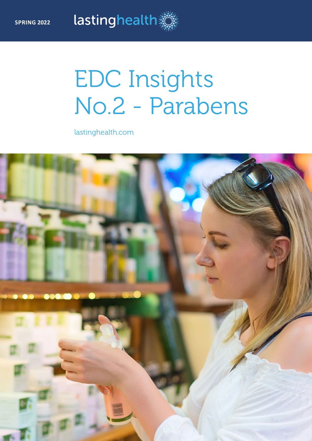# EDC Insights No.2 - Parabens

lastinghealth.com

lastinghealth

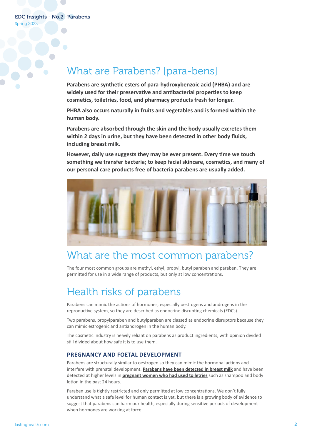Spring 2022

### What are Parabens? [para-bens]

**Parabens are synthetic esters of para-hydroxybenzoic acid (PHBA) and are widely used for their preservative and antibacterial properties to keep cosmetics, toiletries, food, and pharmacy products fresh for longer.**

**PHBA also occurs naturally in fruits and vegetables and is formed within the human body.** 

**Parabens are absorbed through the skin and the body usually excretes them within 2 days in urine, but they have been detected in other body fluids, including breast milk.** 

**However, daily use suggests they may be ever present. Every time we touch something we transfer bacteria; to keep facial skincare, cosmetics, and many of our personal care products free of bacteria parabens are usually added.**



### What are the most common parabens?

The four most common groups are methyl, ethyl, propyl, butyl paraben and paraben. They are permitted for use in a wide range of products, but only at low concentrations.

## Health risks of parabens

Parabens can mimic the actions of hormones, especially oestrogens and androgens in the reproductive system, so they are described as endocrine disrupting chemicals (EDCs).

Two parabens, propylparaben and butylparaben are classed as endocrine disruptors because they can mimic estrogenic and antiandrogen in the human body.

The cosmetic industry is heavily reliant on parabens as product ingredients, with opinion divided still divided about how safe it is to use them.

### **PREGNANCY AND FOETAL DEVELOPMENT**

Parabens are structurally similar to oestrogen so they can mimic the hormonal actions and interfere with prenatal development. **[Parabens have been detected in breast milk](https://pubmed.ncbi.nlm.nih.gov/31563777/)** and have been detected at higher levels in **[pregnant women who had used toiletries](https://pubs.acs.org/doi/10.1021/acs.est.6b04302)** such as shampoo and body lotion in the past 24 hours.

Paraben use is tightly restricted and only permitted at low concentrations. We don't fully understand what a safe level for human contact is yet, but there is a growing body of evidence to suggest that parabens can harm our health, especially during sensitive periods of development when hormones are working at force.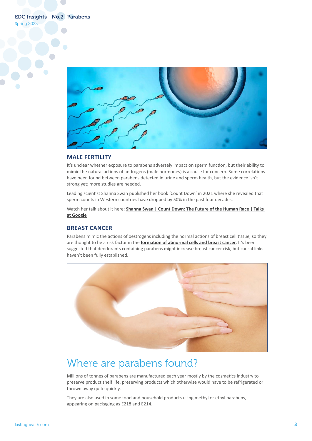EDC Insights - No.2 -Parabens





#### **MALE FERTILITY**

It's unclear whether exposure to parabens adversely impact on sperm function, but their ability to mimic the natural actions of androgens (male hormones) is a cause for concern. Some correlations have been found between parabens detected in urine and sperm health, but the evidence isn't strong yet; more studies are needed.

Leading scientist Shanna Swan published her book 'Count Down' in 2021 where she revealed that sperm counts in Western countries have dropped by 50% in the past four decades.

Watch her talk about it here: **Shanna Swan | Count Down: The Future of the Human Race | Talks [at Google](https://www.youtube.com/watch?v=O7HZ7t3fS9E)**

### **BREAST CANCER**

Parabens mimic the actions of oestrogens including the normal actions of breast cell tissue, so they are thought to be a risk factor in the **[formation of abnormal cells and breast cancer](https://ehp.niehs.nih.gov/doi/10.1289/ehp.1409200)**. It's been suggested that deodorants containing parabens might increase breast cancer risk, but causal links haven't been fully established.



### Where are parabens found?

Millions of tonnes of parabens are manufactured each year mostly by the cosmetics industry to preserve product shelf life, preserving products which otherwise would have to be refrigerated or thrown away quite quickly.

They are also used in some food and household products using methyl or ethyl parabens, appearing on packaging as E218 and E214.